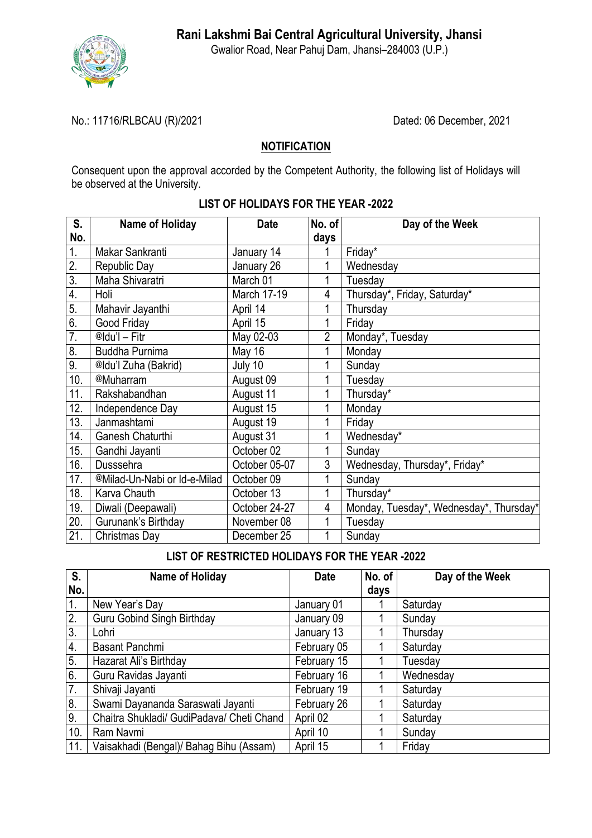

Gwalior Road, Near Pahuj Dam, Jhansi–284003 (U.P.)

### No.: 11716/RLBCAU (R)/2021 Dated: 06 December, 2021

## **NOTIFICATION**

Consequent upon the approval accorded by the Competent Authority, the following list of Holidays will be observed at the University.

| S.                      | Name of Holiday              | <b>Date</b>   | No. of         | Day of the Week                         |
|-------------------------|------------------------------|---------------|----------------|-----------------------------------------|
| No.                     |                              |               | days           |                                         |
| 1.                      | Makar Sankranti              | January 14    |                | Friday*                                 |
| 2.                      | Republic Day                 | January 26    | 1              | Wednesday                               |
| $\overline{3}$ .        | Maha Shivaratri              | March 01      | 1              | Tuesday                                 |
| $\overline{4}$ .        | Holi                         | March 17-19   | 4              | Thursday*, Friday, Saturday*            |
| $\overline{5}$ .        | Mahavir Jayanthi             | April 14      | 1              | Thursday                                |
| 6.                      | Good Friday                  | April 15      | 1              | Friday                                  |
| $\overline{7}$ .        | @Idu'l - Fitr                | May 02-03     | $\overline{2}$ | Monday*, Tuesday                        |
| $\overline{\mathbf{8}}$ | <b>Buddha Purnima</b>        | May 16        | 1              | Monday                                  |
| 9.                      | @Idu'l Zuha (Bakrid)         | July 10       | 1              | Sunday                                  |
| 10.                     | @Muharram                    | August 09     | 1              | Tuesday                                 |
| 11.                     | Rakshabandhan                | August 11     | 1              | Thursday*                               |
| 12.                     | Independence Day             | August 15     | 1              | Monday                                  |
| 13.                     | Janmashtami                  | August 19     | 1              | Friday                                  |
| 14.                     | Ganesh Chaturthi             | August 31     | 1              | Wednesday*                              |
| 15.                     | Gandhi Jayanti               | October 02    | 1              | Sunday                                  |
| 16.                     | Dusssehra                    | October 05-07 | $\overline{3}$ | Wednesday, Thursday*, Friday*           |
| 17.                     | @Milad-Un-Nabi or Id-e-Milad | October 09    | 1              | Sunday                                  |
| 18.                     | Karva Chauth                 | October 13    | 1              | Thursday*                               |
| 19.                     | Diwali (Deepawali)           | October 24-27 | 4              | Monday, Tuesday*, Wednesday*, Thursday* |
| 20.                     | Gurunank's Birthday          | November 08   | 1              | Tuesday                                 |
| 21.                     | Christmas Day                | December 25   | 1              | Sunday                                  |

#### **LIST OF HOLIDAYS FOR THE YEAR -2022**

## **LIST OF RESTRICTED HOLIDAYS FOR THE YEAR -2022**

| S.               | Name of Holiday                           | <b>Date</b> | No. of | Day of the Week |
|------------------|-------------------------------------------|-------------|--------|-----------------|
| No.              |                                           |             | days   |                 |
| 1.               | New Year's Day                            | January 01  |        | Saturday        |
| 2.               | <b>Guru Gobind Singh Birthday</b>         | January 09  |        | Sunday          |
| 3.               | Lohri                                     | January 13  |        | Thursday        |
| $\overline{4}$ . | <b>Basant Panchmi</b>                     | February 05 |        | Saturday        |
| 5.               | Hazarat Ali's Birthday                    | February 15 |        | Tuesday         |
| 6.               | Guru Ravidas Jayanti                      | February 16 |        | Wednesday       |
| 7.               | Shivaji Jayanti                           | February 19 |        | Saturday        |
| 8.               | Swami Dayananda Saraswati Jayanti         | February 26 |        | Saturday        |
| 9.               | Chaitra Shukladi/ GudiPadava/ Cheti Chand | April 02    |        | Saturday        |
| 10.              | Ram Navmi                                 | April 10    |        | Sunday          |
| 11.              | Vaisakhadi (Bengal)/ Bahag Bihu (Assam)   | April 15    |        | Friday          |